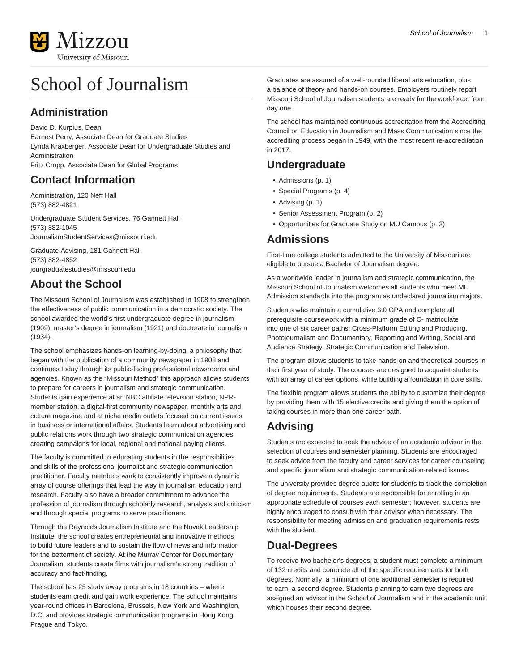

# School of Journalism

### **Administration**

David D. Kurpius, Dean

Earnest Perry, Associate Dean for Graduate Studies Lynda Kraxberger, Associate Dean for Undergraduate Studies and Administration

Fritz Cropp, Associate Dean for Global Programs

### **Contact Information**

Administration, 120 Neff Hall (573) 882-4821

Undergraduate Student Services, 76 Gannett Hall (573) 882-1045 [JournalismStudentServices@missouri.edu](mailto:JournalismStudentServices@missouri.edu)

Graduate Advising, 181 Gannett Hall (573) 882-4852 [jourgraduatestudies@missouri.edu](mailto:jourgraduatestudies@missouri.edu)

# **About the School**

The Missouri School of Journalism was established in 1908 to strengthen the effectiveness of public communication in a democratic society. The school awarded the world's first undergraduate degree in journalism (1909), master's degree in journalism (1921) and doctorate in journalism (1934).

The school emphasizes hands-on learning-by-doing, a philosophy that began with the publication of a community newspaper in 1908 and continues today through its public-facing professional newsrooms and agencies. Known as the "Missouri Method" this approach allows students to prepare for careers in journalism and strategic communication. Students gain experience at an NBC affiliate television station, NPRmember station, a digital-first community newspaper, monthly arts and culture magazine and at niche media outlets focused on current issues in business or international affairs. Students learn about advertising and public relations work through two strategic communication agencies creating campaigns for local, regional and national paying clients.

The faculty is committed to educating students in the responsibilities and skills of the professional journalist and strategic communication practitioner. Faculty members work to consistently improve a dynamic array of course offerings that lead the way in journalism education and research. Faculty also have a broader commitment to advance the profession of journalism through scholarly research, analysis and criticism and through special programs to serve practitioners.

Through the Reynolds Journalism Institute and the Novak Leadership Institute, the school creates entrepreneurial and innovative methods to build future leaders and to sustain the flow of news and information for the betterment of society. At the Murray Center for Documentary Journalism, students create films with journalism's strong tradition of accuracy and fact-finding.

The school has 25 study away programs in 18 countries – where students earn credit and gain work experience. The school maintains year-round offices in Barcelona, Brussels, New York and Washington, D.C. and provides strategic communication programs in Hong Kong, Prague and Tokyo.

Graduates are assured of a well-rounded liberal arts education, plus a balance of theory and hands-on courses. Employers routinely report Missouri School of Journalism students are ready for the workforce, from day one.

The school has maintained continuous accreditation from the Accrediting Council on Education in Journalism and Mass Communication since the accrediting process began in 1949, with the most recent re-accreditation in 2017.

# **Undergraduate**

- [Admissions](#page-0-0) ([p. 1](#page-0-0))
- [Special Programs](#page-3-0) [\(p. 4](#page-3-0))
- [Advising](#page-0-1) [\(p. 1](#page-0-1))
- [Senior Assessment Program](#page-1-0) ([p. 2](#page-1-0))
- [Opportunities for Graduate Study on MU Campus](#page-1-1) [\(p. 2](#page-1-1))

### <span id="page-0-0"></span>**Admissions**

First-time college students admitted to the University of Missouri are eligible to pursue a Bachelor of Journalism degree.

As a worldwide leader in journalism and strategic communication, the Missouri School of Journalism welcomes all students who meet MU Admission standards into the program as undeclared journalism majors.

Students who maintain a cumulative 3.0 GPA and complete all prerequisite coursework with a minimum grade of C- matriculate into one of six career paths: Cross-Platform Editing and Producing, Photojournalism and Documentary, Reporting and Writing, Social and Audience Strategy, Strategic Communication and Television.

The program allows students to take hands-on and theoretical courses in their first year of study. The courses are designed to acquaint students with an array of career options, while building a foundation in core skills.

The flexible program allows students the ability to customize their degree by providing them with 15 elective credits and giving them the option of taking courses in more than one career path.

# <span id="page-0-1"></span>**Advising**

Students are expected to seek the advice of an academic advisor in the selection of courses and semester planning. Students are encouraged to seek advice from the faculty and career services for career counseling and specific journalism and strategic communication-related issues.

The university provides degree audits for students to track the completion of degree requirements. Students are responsible for enrolling in an appropriate schedule of courses each semester; however, students are highly encouraged to consult with their advisor when necessary. The responsibility for meeting admission and graduation requirements rests with the student.

# **Dual-Degrees**

To receive two bachelor's degrees, a student must complete a minimum of 132 credits and complete all of the specific requirements for both degrees. Normally, a minimum of one additional semester is required to earn a second degree. Students planning to earn two degrees are assigned an advisor in the School of Journalism and in the academic unit which houses their second degree.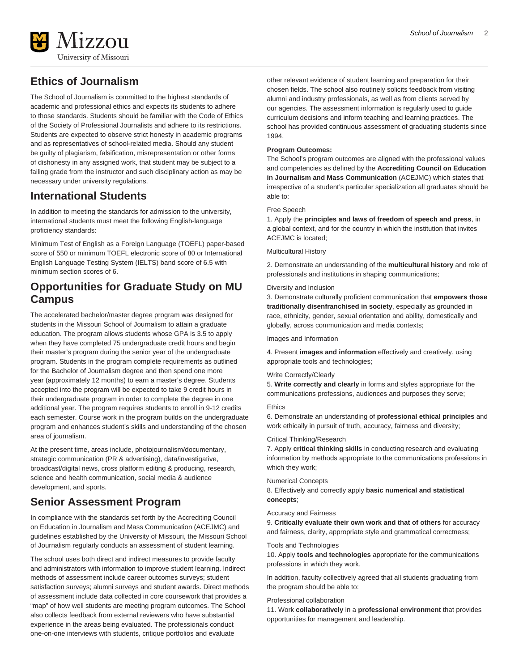

# **Ethics of Journalism**

The School of Journalism is committed to the highest standards of academic and professional ethics and expects its students to adhere to those standards. Students should be familiar with the Code of Ethics of the Society of Professional Journalists and adhere to its restrictions. Students are expected to observe strict honesty in academic programs and as representatives of school-related media. Should any student be guilty of plagiarism, falsification, misrepresentation or other forms of dishonesty in any assigned work, that student may be subject to a failing grade from the instructor and such disciplinary action as may be necessary under university regulations.

### **International Students**

In addition to meeting the standards for admission to the university, international students must meet the following English-language proficiency standards:

Minimum Test of English as a Foreign Language (TOEFL) paper-based score of 550 or minimum TOEFL electronic score of 80 or International English Language Testing System (IELTS) band score of 6.5 with minimum section scores of 6.

### <span id="page-1-1"></span>**Opportunities for Graduate Study on MU Campus**

The accelerated bachelor/master degree program was designed for students in the Missouri School of Journalism to attain a graduate education. The program allows students whose GPA is 3.5 to apply when they have completed 75 undergraduate credit hours and begin their master's program during the senior year of the undergraduate program. Students in the program complete requirements as outlined for the Bachelor of Journalism degree and then spend one more year (approximately 12 months) to earn a master's degree. Students accepted into the program will be expected to take 9 credit hours in their undergraduate program in order to complete the degree in one additional year. The program requires students to enroll in 9-12 credits each semester. Course work in the program builds on the undergraduate program and enhances student's skills and understanding of the chosen area of journalism.

At the present time, areas include, photojournalism/documentary, strategic communication (PR & advertising), data/investigative, broadcast/digital news, cross platform editing & producing, research, science and health communication, social media & audience development, and sports.

### <span id="page-1-0"></span>**Senior Assessment Program**

In compliance with the standards set forth by the Accrediting Council on Education in Journalism and Mass Communication (ACEJMC) and guidelines established by the University of Missouri, the Missouri School of Journalism regularly conducts an assessment of student learning.

The school uses both direct and indirect measures to provide faculty and administrators with information to improve student learning. Indirect methods of assessment include career outcomes surveys; student satisfaction surveys; alumni surveys and student awards. Direct methods of assessment include data collected in core coursework that provides a "map" of how well students are meeting program outcomes. The School also collects feedback from external reviewers who have substantial experience in the areas being evaluated. The professionals conduct one-on-one interviews with students, critique portfolios and evaluate

other relevant evidence of student learning and preparation for their chosen fields. The school also routinely solicits feedback from visiting alumni and industry professionals, as well as from clients served by our agencies. The assessment information is regularly used to guide curriculum decisions and inform teaching and learning practices. The school has provided continuous assessment of graduating students since 1994.

#### **Program Outcomes:**

The School's program outcomes are aligned with the professional values and competencies as defined by the **Accrediting Council on Education in Journalism and Mass Communication** (ACEJMC) which states that irrespective of a student's particular specialization all graduates should be able to:

#### Free Speech

1. Apply the **principles and laws of freedom of speech and press**, in a global context, and for the country in which the institution that invites ACEJMC is located;

#### Multicultural History

2. Demonstrate an understanding of the **multicultural history** and role of professionals and institutions in shaping communications;

#### Diversity and Inclusion

3. Demonstrate culturally proficient communication that **empowers those traditionally disenfranchised in society**, especially as grounded in race, ethnicity, gender, sexual orientation and ability, domestically and globally, across communication and media contexts;

#### Images and Information

4. Present **images and information** effectively and creatively, using appropriate tools and technologies;

#### Write Correctly/Clearly

5. **Write correctly and clearly** in forms and styles appropriate for the communications professions, audiences and purposes they serve;

#### Ethics

6. Demonstrate an understanding of **professional ethical principles** and work ethically in pursuit of truth, accuracy, fairness and diversity;

#### Critical Thinking/Research

7. Apply **critical thinking skills** in conducting research and evaluating information by methods appropriate to the communications professions in which they work;

#### Numerical Concepts

8. Effectively and correctly apply **basic numerical and statistical concepts**;

#### Accuracy and Fairness

9. **Critically evaluate their own work and that of others** for accuracy and fairness, clarity, appropriate style and grammatical correctness;

#### Tools and Technologies

10. Apply **tools and technologies** appropriate for the communications professions in which they work.

In addition, faculty collectively agreed that all students graduating from the program should be able to:

#### Professional collaboration

11. Work **collaboratively** in a **professional environment** that provides opportunities for management and leadership.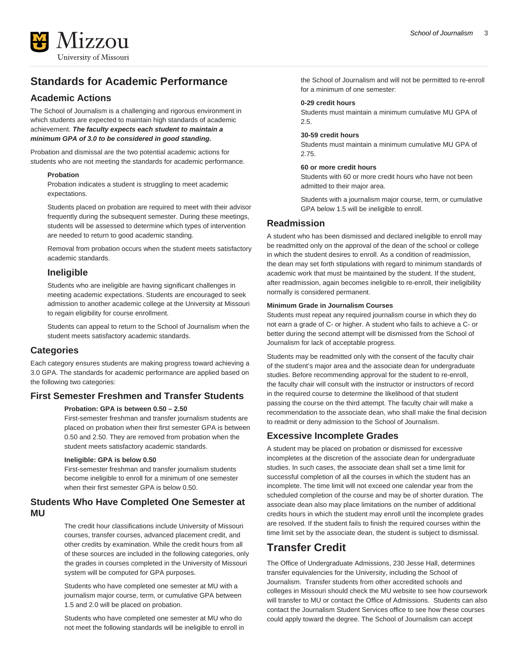# **Standards for Academic Performance**

### **Academic Actions**

The School of Journalism is a challenging and rigorous environment in which students are expected to maintain high standards of academic achievement. **The faculty expects each student to maintain a minimum GPA of 3.0 to be considered in good standing.**

Probation and dismissal are the two potential academic actions for students who are not meeting the standards for academic performance.

#### **Probation**

Probation indicates a student is struggling to meet academic expectations.

Students placed on probation are required to meet with their advisor frequently during the subsequent semester. During these meetings, students will be assessed to determine which types of intervention are needed to return to good academic standing.

Removal from probation occurs when the student meets satisfactory academic standards.

### **Ineligible**

Students who are ineligible are having significant challenges in meeting academic expectations. Students are encouraged to seek admission to another academic college at the University at Missouri to regain eligibility for course enrollment.

Students can appeal to return to the School of Journalism when the student meets satisfactory academic standards.

#### **Categories**

Each category ensures students are making progress toward achieving a 3.0 GPA. The standards for academic performance are applied based on the following two categories:

### **First Semester Freshmen and Transfer Students**

#### **Probation: GPA is between 0.50 – 2.50**

First-semester freshman and transfer journalism students are placed on probation when their first semester GPA is between 0.50 and 2.50. They are removed from probation when the student meets satisfactory academic standards.

#### **Ineligible: GPA is below 0.50**

First-semester freshman and transfer journalism students become ineligible to enroll for a minimum of one semester when their first semester GPA is below 0.50.

### **Students Who Have Completed One Semester at MU**

The credit hour classifications include University of Missouri courses, transfer courses, advanced placement credit, and other credits by examination. While the credit hours from all of these sources are included in the following categories, only the grades in courses completed in the University of Missouri system will be computed for GPA purposes.

Students who have completed one semester at MU with a journalism major course, term, or cumulative GPA between 1.5 and 2.0 will be placed on probation.

Students who have completed one semester at MU who do not meet the following standards will be ineligible to enroll in the School of Journalism and will not be permitted to re-enroll for a minimum of one semester:

#### **0-29 credit hours**

Students must maintain a minimum cumulative MU GPA of 2.5.

#### **30-59 credit hours**

Students must maintain a minimum cumulative MU GPA of 2.75.

#### **60 or more credit hours**

Students with 60 or more credit hours who have not been admitted to their major area.

Students with a journalism major course, term, or cumulative GPA below 1.5 will be ineligible to enroll.

### **Readmission**

A student who has been dismissed and declared ineligible to enroll may be readmitted only on the approval of the dean of the school or college in which the student desires to enroll. As a condition of readmission, the dean may set forth stipulations with regard to minimum standards of academic work that must be maintained by the student. If the student, after readmission, again becomes ineligible to re-enroll, their ineligibility normally is considered permanent.

#### **Minimum Grade in Journalism Courses**

Students must repeat any required journalism course in which they do not earn a grade of C- or higher. A student who fails to achieve a C- or better during the second attempt will be dismissed from the School of Journalism for lack of acceptable progress.

Students may be readmitted only with the consent of the faculty chair of the student's major area and the associate dean for undergraduate studies. Before recommending approval for the student to re-enroll, the faculty chair will consult with the instructor or instructors of record in the required course to determine the likelihood of that student passing the course on the third attempt. The faculty chair will make a recommendation to the associate dean, who shall make the final decision to readmit or deny admission to the School of Journalism.

### **Excessive Incomplete Grades**

A student may be placed on probation or dismissed for excessive incompletes at the discretion of the associate dean for undergraduate studies. In such cases, the associate dean shall set a time limit for successful completion of all the courses in which the student has an incomplete. The time limit will not exceed one calendar year from the scheduled completion of the course and may be of shorter duration. The associate dean also may place limitations on the number of additional credits hours in which the student may enroll until the incomplete grades are resolved. If the student fails to finish the required courses within the time limit set by the associate dean, the student is subject to dismissal.

### **Transfer Credit**

The Office of Undergraduate Admissions, 230 Jesse Hall, determines transfer equivalencies for the University, including the School of Journalism. Transfer students from other accredited schools and colleges in Missouri should check the MU website to see how coursework will transfer to MU or contact the Office of Admissions. Students can also contact the Journalism Student Services office to see how these courses could apply toward the degree. The School of Journalism can accept